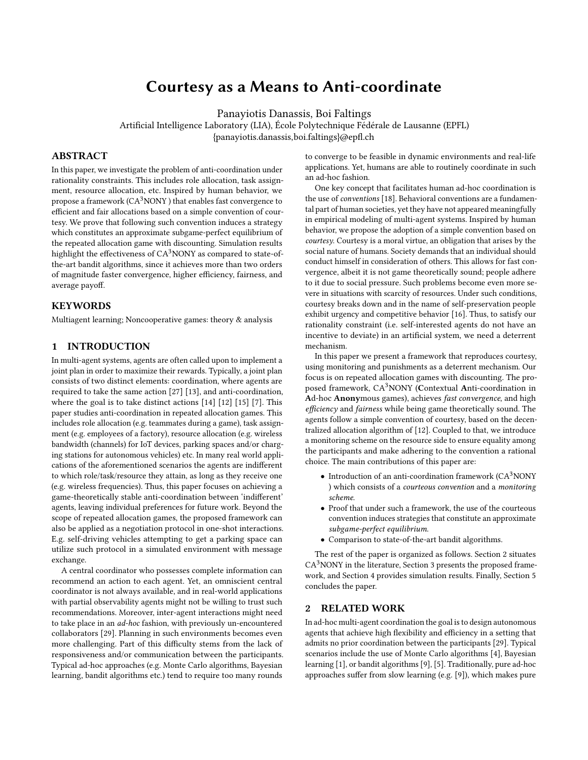# Courtesy as a Means to Anti-coordinate

Panayiotis Danassis, Boi Faltings

Artificial Intelligence Laboratory (LIA), École Polytechnique Fédérale de Lausanne (EPFL) {panayiotis.danassis,boi.faltings}@epfl.ch

# ABSTRACT

In this paper, we investigate the problem of anti-coordination under rationality constraints. This includes role allocation, task assignment, resource allocation, etc. Inspired by human behavior, we propose a framework  $(CA<sup>3</sup>NONY)$  that enables fast convergence to efficient and fair allocations based on a simple convention of courtesy. We prove that following such convention induces a strategy which constitutes an approximate subgame-perfect equilibrium of the repeated allocation game with discounting. Simulation results highlight the effectiveness of  $CA^3$ NONY as compared to state-ofthe-art bandit algorithms, since it achieves more than two orders of magnitude faster convergence, higher efficiency, fairness, and average payoff.

## KEYWORDS

Multiagent learning; Noncooperative games: theory & analysis

#### 1 INTRODUCTION

In multi-agent systems, agents are often called upon to implement a joint plan in order to maximize their rewards. Typically, a joint plan consists of two distinct elements: coordination, where agents are required to take the same action [\[27\]](#page-6-0) [\[13\]](#page-6-1), and anti-coordination, where the goal is to take distinct actions [\[14\]](#page-6-2) [\[12\]](#page-6-3) [\[15\]](#page-6-4) [\[7\]](#page-5-0). This paper studies anti-coordination in repeated allocation games. This includes role allocation (e.g. teammates during a game), task assignment (e.g. employees of a factory), resource allocation (e.g. wireless bandwidth (channels) for IoT devices, parking spaces and/or charging stations for autonomous vehicles) etc. In many real world applications of the aforementioned scenarios the agents are indifferent to which role/task/resource they attain, as long as they receive one (e.g. wireless frequencies). Thus, this paper focuses on achieving a game-theoretically stable anti-coordination between 'indifferent' agents, leaving individual preferences for future work. Beyond the scope of repeated allocation games, the proposed framework can also be applied as a negotiation protocol in one-shot interactions. E.g. self-driving vehicles attempting to get a parking space can utilize such protocol in a simulated environment with message exchange.

A central coordinator who possesses complete information can recommend an action to each agent. Yet, an omniscient central coordinator is not always available, and in real-world applications with partial observability agents might not be willing to trust such recommendations. Moreover, inter-agent interactions might need to take place in an ad-hoc fashion, with previously un-encountered collaborators [\[29\]](#page-6-5). Planning in such environments becomes even more challenging. Part of this difficulty stems from the lack of responsiveness and/or communication between the participants. Typical ad-hoc approaches (e.g. Monte Carlo algorithms, Bayesian learning, bandit algorithms etc.) tend to require too many rounds

to converge to be feasible in dynamic environments and real-life applications. Yet, humans are able to routinely coordinate in such an ad-hoc fashion.

One key concept that facilitates human ad-hoc coordination is the use of conventions [\[18\]](#page-6-6). Behavioral conventions are a fundamental part of human societies, yet they have not appeared meaningfully in empirical modeling of multi-agent systems. Inspired by human behavior, we propose the adoption of a simple convention based on courtesy. Courtesy is a moral virtue, an obligation that arises by the social nature of humans. Society demands that an individual should conduct himself in consideration of others. This allows for fast convergence, albeit it is not game theoretically sound; people adhere to it due to social pressure. Such problems become even more severe in situations with scarcity of resources. Under such conditions, courtesy breaks down and in the name of self-preservation people exhibit urgency and competitive behavior [\[16\]](#page-6-7). Thus, to satisfy our rationality constraint (i.e. self-interested agents do not have an incentive to deviate) in an artificial system, we need a deterrent mechanism.

In this paper we present a framework that reproduces courtesy, using monitoring and punishments as a deterrent mechanism. Our focus is on repeated allocation games with discounting. The proposed framework, CA<sup>3</sup>NONY (Contextual Anti-coordination in Ad-hoc Anonymous games), achieves fast convergence, and high efficiency and fairness while being game theoretically sound. The agents follow a simple convention of courtesy, based on the decentralized allocation algorithm of [\[12\]](#page-6-3). Coupled to that, we introduce a monitoring scheme on the resource side to ensure equality among the participants and make adhering to the convention a rational choice. The main contributions of this paper are:

- Introduction of an anti-coordination framework  $(CA<sup>3</sup>NONY)$ ) which consists of a courteous convention and a monitoring scheme.
- Proof that under such a framework, the use of the courteous convention induces strategies that constitute an approximate subgame-perfect equilibrium.
- Comparison to state-of-the-art bandit algorithms.

The rest of the paper is organized as follows. Section [2](#page-0-0) situates  $CA<sup>3</sup>$  NONY in the literature, Section [3](#page-1-0) presents the proposed framework, and Section [4](#page-3-0) provides simulation results. Finally, Section [5](#page-5-1) concludes the paper.

## <span id="page-0-0"></span>2 RELATED WORK

In ad-hoc multi-agent coordination the goal is to design autonomous agents that achieve high flexibility and efficiency in a setting that admits no prior coordination between the participants [\[29\]](#page-6-5). Typical scenarios include the use of Monte Carlo algorithms [\[4\]](#page-5-2), Bayesian learning [\[1\]](#page-5-3), or bandit algorithms [\[9\]](#page-6-8), [\[5\]](#page-5-4). Traditionally, pure ad-hoc approaches suffer from slow learning (e.g. [\[9\]](#page-6-8)), which makes pure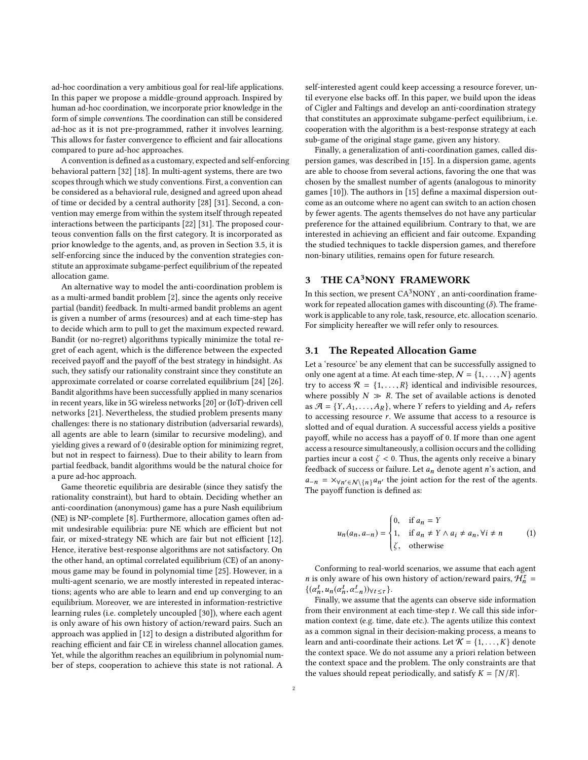ad-hoc coordination a very ambitious goal for real-life applications. In this paper we propose a middle-ground approach. Inspired by human ad-hoc coordination, we incorporate prior knowledge in the form of simple conventions. The coordination can still be considered ad-hoc as it is not pre-programmed, rather it involves learning. This allows for faster convergence to efficient and fair allocations compared to pure ad-hoc approaches.

A convention is defined as a customary, expected and self-enforcing behavioral pattern [\[32\]](#page-6-9) [\[18\]](#page-6-6). In multi-agent systems, there are two scopes through which we study conventions. First, a convention can be considered as a behavioral rule, designed and agreed upon ahead of time or decided by a central authority [\[28\]](#page-6-10) [\[31\]](#page-6-11). Second, a convention may emerge from within the system itself through repeated interactions between the participants [\[22\]](#page-6-12) [\[31\]](#page-6-11). The proposed courteous convention falls on the first category. It is incorporated as prior knowledge to the agents, and, as proven in Section [3.5,](#page-3-1) it is self-enforcing since the induced by the convention strategies constitute an approximate subgame-perfect equilibrium of the repeated allocation game.

An alternative way to model the anti-coordination problem is as a multi-armed bandit problem [\[2\]](#page-5-5), since the agents only receive partial (bandit) feedback. In multi-armed bandit problems an agent is given a number of arms (resources) and at each time-step has to decide which arm to pull to get the maximum expected reward. Bandit (or no-regret) algorithms typically minimize the total regret of each agent, which is the difference between the expected received payoff and the payoff of the best strategy in hindsight. As such, they satisfy our rationality constraint since they constitute an approximate correlated or coarse correlated equilibrium [\[24\]](#page-6-13) [\[26\]](#page-6-14). Bandit algorithms have been successfully applied in many scenarios in recent years, like in 5G wireless networks [\[20\]](#page-6-15) or (IoT)-driven cell networks [\[21\]](#page-6-16). Nevertheless, the studied problem presents many challenges: there is no stationary distribution (adversarial rewards), all agents are able to learn (similar to recursive modeling), and yielding gives a reward of 0 (desirable option for minimizing regret, but not in respect to fairness). Due to their ability to learn from partial feedback, bandit algorithms would be the natural choice for a pure ad-hoc approach.

Game theoretic equilibria are desirable (since they satisfy the rationality constraint), but hard to obtain. Deciding whether an anti-coordination (anonymous) game has a pure Nash equilibrium (NE) is NP-complete [\[8\]](#page-6-17). Furthermore, allocation games often admit undesirable equilibria: pure NE which are efficient but not fair, or mixed-strategy NE which are fair but not efficient [\[12\]](#page-6-3). Hence, iterative best-response algorithms are not satisfactory. On the other hand, an optimal correlated equilibrium (CE) of an anonymous game may be found in polynomial time [\[25\]](#page-6-18). However, in a multi-agent scenario, we are mostly interested in repeated interactions; agents who are able to learn and end up converging to an equilibrium. Moreover, we are interested in information-restrictive learning rules (i.e. completely uncoupled [\[30\]](#page-6-19)), where each agent is only aware of his own history of action/reward pairs. Such an approach was applied in [\[12\]](#page-6-3) to design a distributed algorithm for reaching efficient and fair CE in wireless channel allocation games. Yet, while the algorithm reaches an equilibrium in polynomial number of steps, cooperation to achieve this state is not rational. A self-interested agent could keep accessing a resource forever, until everyone else backs off. In this paper, we build upon the ideas of [Cigler and Faltings](#page-6-3) and develop an anti-coordination strategy that constitutes an approximate subgame-perfect equilibrium, i.e. cooperation with the algorithm is a best-response strategy at each sub-game of the original stage game, given any history.

Finally, a generalization of anti-coordination games, called dispersion games, was described in [\[15\]](#page-6-4). In a dispersion game, agents are able to choose from several actions, favoring the one that was chosen by the smallest number of agents (analogous to minority games [\[10\]](#page-6-20)). The authors in [\[15\]](#page-6-4) define a maximal dispersion outcome as an outcome where no agent can switch to an action chosen by fewer agents. The agents themselves do not have any particular preference for the attained equilibrium. Contrary to that, we are interested in achieving an efficient and fair outcome. Expanding the studied techniques to tackle dispersion games, and therefore non-binary utilities, remains open for future research.

# <span id="page-1-0"></span>3 THE CA<sup>3</sup>NONY FRAMEWORK

In this section, we present  $CA<sup>3</sup>NONY$ , an anti-coordination framework for repeated allocation games with discounting  $(\delta)$ . The framework is applicable to any role, task, resource, etc. allocation scenario. For simplicity hereafter we will refer only to resources.

#### 3.1 The Repeated Allocation Game

Let a 'resource' be any element that can be successfully assigned to only one agent at a time. At each time-step,  $N = \{1, \ldots, N\}$  agents try to access  $\mathcal{R} = \{1, \ldots, R\}$  identical and indivisible resources, where possibly  $N \gg R$ . The set of available actions is denoted as  $\mathcal{A} = \{Y, A_1, \ldots, A_R\}$ , where Y refers to yielding and  $A_r$  refers to accessing resource  $r$ . We assume that access to a resource is slotted and of equal duration. A successful access yields a positive payoff, while no access has a payoff of 0. If more than one agent access a resource simultaneously, a collision occurs and the colliding parties incur a cost  $\zeta$  < 0. Thus, the agents only receive a binary feedback of success or failure. Let  $a_n$  denote agent n's action, and  $a_{-n} = \frac{\partial \psi_n}{\partial \phi} a_{n'}$  (n<sub>}</sub> $a_{n'}$  the joint action for the rest of the agents. The payoff function is defined as:

$$
u_n(a_n, a_{-n}) = \begin{cases} 0, & \text{if } a_n = Y \\ 1, & \text{if } a_n \neq Y \land a_i \neq a_n, \forall i \neq n \\ \zeta, & \text{otherwise} \end{cases} \tag{1}
$$

Conforming to real-world scenarios, we assume that each agent *n* is only aware of his own history of action/reward pairs,  $\mathcal{H}_n^{\tau} = \{ (a^t, u_-(a^t, a^t)) | u_{t+1} \}$  $\{(\alpha_n^t, u_n(\alpha_n^t, \alpha_{-n}^t))\}\forall t \leq \tau\}.$ 

n n Finally, we assume that the agents can observe side information from their environment at each time-step  $t$ . We call this side information context (e.g. time, date etc.). The agents utilize this context as a common signal in their decision-making process, a means to learn and anti-coordinate their actions. Let  $K = \{1, \ldots, K\}$  denote the context space. We do not assume any a priori relation between the context space and the problem. The only constraints are that the values should repeat periodically, and satisfy  $K = \lfloor N/R \rfloor$ .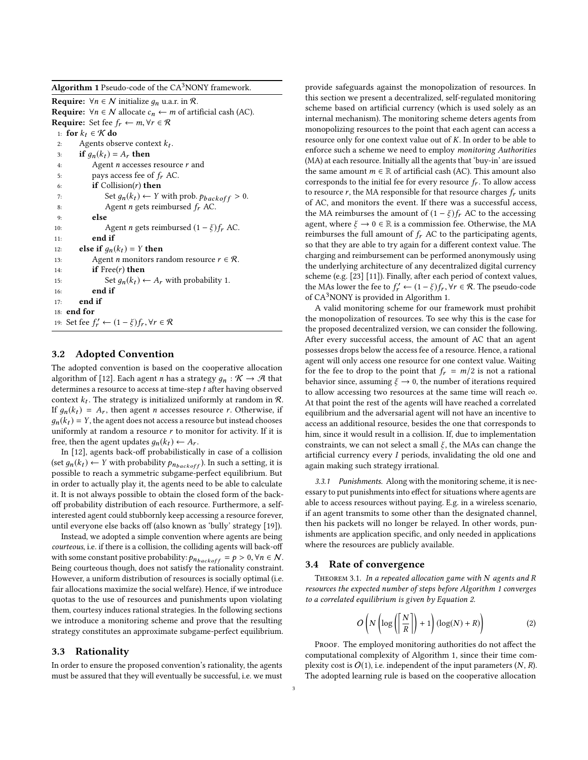<span id="page-2-0"></span>**Algorithm 1** Pseudo-code of the  $CA<sup>3</sup>$  NONY framework.

**Require:**  $\forall n \in \mathcal{N}$  initialize  $g_n$  u.a.r. in  $\mathcal{R}$ . **Require:**  $\forall n \in \mathcal{N}$  allocate  $c_n$  ← *m* of artificial cash (AC). **Require:** Set fee  $f_r \leftarrow m, \forall r \in \mathcal{R}$ 1: **for**  $k_t \in \mathcal{K}$  **do**<br>2: **Agents** obs 2: Agents observe context  $k_t$ . 3: **if**  $g_n(k_t) = A_r$  **then**<br>4: Agent *n* accesses Agent  $n$  accesses resource  $r$  and 5: pays access fee of  $f_r$  AC.<br>6: **if** Collision(*r*) **then** if  $\text{Collision}(r)$  then 7: Set  $g_n(k_t) \leftarrow Y$  with prob.  $p_{backoff} > 0$ .<br>8: Agent *n* gets reimbursed  $f_r$  AC. 8: Agent *n* gets reimbursed  $f_r$  AC.<br>9: **else** else 10: Agent *n* gets reimbursed  $(1 - \xi)f_r$  AC.<br>11: **end if** end if 12: **else if**  $g_n(k_t) = Y$  **then**<br>13: Agent *n* monitors ra Agent *n* monitors random resource  $r \in \mathcal{R}$ . 14: **if**  $Free(r)$  then 15: Set  $g_n(k_t) \leftarrow A_r$  with probability 1.<br>16: **end if** end if 17: end if 18: end for 19: Set fee  $f'_r \leftarrow (1 - \xi) f_r, \forall r \in \mathcal{R}$ 

# 3.2 Adopted Convention

The adopted convention is based on the cooperative allocation algorithm of [\[12\]](#page-6-3). Each agent *n* has a strategy  $g_n : \mathcal{K} \to \mathcal{A}$  that determines a resource to access at time-step  $t$  after having observed context  $k_t$ . The strategy is initialized uniformly at random in  $\mathcal{R}$ .<br>If  $a_k(k) = A$ , then exent n exercises resource r. Otherwise if If  $g_n(k_t) = A_r$ , then agent *n* accesses resource *r*. Otherwise, if  $g_n(k_t) = Y$ , the agent does not access a resource but instead chooses uniformly at random a resource  $r$  to monitor for activity. If it is free, then the agent updates  $g_n(k_t) \leftarrow A_r$ .

In [\[12\]](#page-6-3), agents back-off probabilistically in case of a collision (set  $g_n(k_t) \leftarrow Y$  with probability  $p_{n_{backoff}}$ ). In such a setting, it is possible to reach a symmetric subgame-perfect equilibrium. But in order to actually play it, the agents need to be able to calculate it. It is not always possible to obtain the closed form of the backoff probability distribution of each resource. Furthermore, a selfinterested agent could stubbornly keep accessing a resource forever, until everyone else backs off (also known as 'bully' strategy [\[19\]](#page-6-21)).

Instead, we adopted a simple convention where agents are being courteous, i.e. if there is a collision, the colliding agents will back-off with some constant positive probability:  $p_{n_{backoff}} = p > 0$ ,  $\forall n \in \mathcal{N}$ . Being courteous though, does not satisfy the rationality constraint. However, a uniform distribution of resources is socially optimal (i.e. fair allocations maximize the social welfare). Hence, if we introduce quotas to the use of resources and punishments upon violating them, courtesy induces rational strategies. In the following sections we introduce a monitoring scheme and prove that the resulting strategy constitutes an approximate subgame-perfect equilibrium.

#### 3.3 Rationality

In order to ensure the proposed convention's rationality, the agents must be assured that they will eventually be successful, i.e. we must provide safeguards against the monopolization of resources. In this section we present a decentralized, self-regulated monitoring scheme based on artificial currency (which is used solely as an internal mechanism). The monitoring scheme deters agents from monopolizing resources to the point that each agent can access a resource only for one context value out of K. In order to be able to enforce such a scheme we need to employ monitoring Authorities (MA) at each resource. Initially all the agents that 'buy-in' are issued the same amount  $m \in \mathbb{R}$  of artificial cash (AC). This amount also corresponds to the initial fee for every resource  $f_r$ . To allow access to resource r, the MA responsible for that resource charges  $f_r$  units of AC, and monitors the event. If there was a successful access, the MA reimburses the amount of  $(1 - \xi)f_r$  AC to the accessing agent, where  $\xi \to 0 \in \mathbb{R}$  is a commission fee. Otherwise, the MA reimburses the full amount of  $f_r$  AC to the participating agents, so that they are able to try again for a different context value. The charging and reimbursement can be performed anonymously using the underlying architecture of any decentralized digital currency scheme (e.g. [\[23\]](#page-6-22) [\[11\]](#page-6-23)). Finally, after each period of context values, the MAs lower the fee to  $f'_r \leftarrow (1 - \xi) f_r$ ,  $\forall r \in \mathcal{R}$ . The pseudo-code of CA<sup>3</sup>NONV is provided in Algorithm 1 of CA3NONY is provided in Algorithm [1.](#page-2-0)

A valid monitoring scheme for our framework must prohibit the monopolization of resources. To see why this is the case for the proposed decentralized version, we can consider the following. After every successful access, the amount of AC that an agent possesses drops below the access fee of a resource. Hence, a rational agent will only access one resource for one context value. Waiting for the fee to drop to the point that  $f_r = m/2$  is not a rational behavior since, assuming  $\xi \rightarrow 0$ , the number of iterations required to allow accessing two resources at the same time will reach ∞. At that point the rest of the agents will have reached a correlated equilibrium and the adversarial agent will not have an incentive to access an additional resource, besides the one that corresponds to him, since it would result in a collision. If, due to implementation constraints, we can not select a small  $\xi$ , the MAs can change the artificial currency every I periods, invalidating the old one and again making such strategy irrational.

3.3.1 Punishments. Along with the monitoring scheme, it is necessary to put punishments into effect for situations where agents are able to access resources without paying. E.g. in a wireless scenario, if an agent transmits to some other than the designated channel, then his packets will no longer be relayed. In other words, punishments are application specific, and only needed in applications where the resources are publicly available.

#### 3.4 Rate of convergence

<span id="page-2-2"></span>Theorem 3.1. In a repeated allocation game with N agents and R resources the expected number of steps before Algorithm [1](#page-2-0) converges to a correlated equilibrium is given by Equation [2.](#page-2-1)

<span id="page-2-1"></span>
$$
O\left(N\left(\log\left(\left\lceil\frac{N}{R}\right\rceil\right)+1\right)\left(\log(N)+R\right)\right)\right) \tag{2}
$$

PROOF. The employed monitoring authorities do not affect the computational complexity of Algorithm [1,](#page-2-0) since their time complexity cost is  $O(1)$ , i.e. independent of the input parameters  $(N, R)$ . The adopted learning rule is based on the cooperative allocation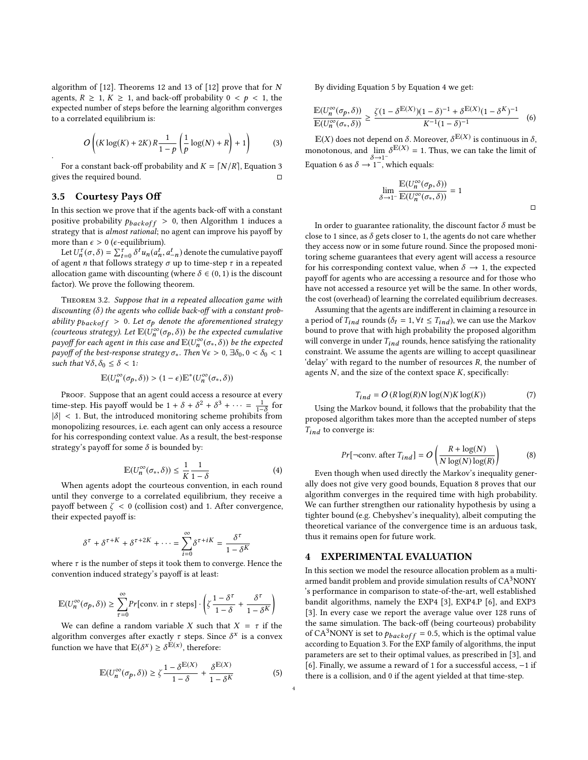algorithm of [\[12\]](#page-6-3). Theorems 12 and 13 of [\[12\]](#page-6-3) prove that for N agents,  $R \geq 1, K \geq 1$ , and back-off probability  $0 \leq p \leq 1$ , the expected number of steps before the learning algorithm converges to a correlated equilibrium is:

<span id="page-3-2"></span>
$$
O\left((K\log(K) + 2K)R\frac{1}{1-p}\left(\frac{1}{p}\log(N) + R\right) + 1\right) \tag{3}
$$

For a constant back-off probability and  $K = \lfloor N/R \rfloor$ , Equation [3](#page-3-2) gives the required bound.

#### <span id="page-3-1"></span>3.5 Courtesy Pays Off

.

In this section we prove that if the agents back-off with a constant positive probability  $p_{backoff} > 0$ , then Algorithm [1](#page-2-0) induces a strategy that is almost rational; no agent can improve his payoff by more than  $\epsilon > 0$  ( $\epsilon$ -equilibrium).

Let  $U_n^{\tau}(\sigma, \delta) = \sum_{t=0}^{\tau} \delta^t u_n(a_n^t, a_{-n}^t)$  denote the cumulative payoff<br>agent *n* that follows strategy  $\sigma$  up to time-step  $\tau$  in a repeated of agent *n* that follows strategy  $\sigma$  up to time-step  $\tau$  in a repeated allocation game with discounting (where  $\delta \in (0, 1)$  is the discount factor). We prove the following theorem.

Theorem 3.2. Suppose that in a repeated allocation game with discounting  $(\delta)$  the agents who collide back-off with a constant probability  $p_{backoff} > 0$ . Let  $\sigma_p$  denote the aforementioned strategy (courteous strategy). Let  $\mathbb{E}(\dot{U}_n^{\infty}(\sigma_p, \delta))$  be the expected cumulative<br>payoff for each grant in this case and  $\mathbb{E}(U^{\infty}(\sigma, \delta))$  be the expected payoff for each agent in this case and  $\mathbb{E}(U_n^{\infty}(\sigma_*, \delta))$  be the expected<br>payoff of the hest-response strategy  $\sigma$ . Then  $\forall \epsilon > 0$ ,  $\exists \delta_0$ ,  $0 < \delta_0 < 1$ payoff of the best-response strategy  $\sigma_*$ . Then  $\forall \epsilon > 0$ ,  $\exists \delta_0$ ,  $0 < \delta_0 < 1$ <br>such that  $\forall \delta, \delta_0 < \delta < 1$ . such that  $\forall \delta, \delta_0 \leq \delta < 1$ :

$$
\mathbb{E}(U_n^\infty(\sigma_p, \delta)) > (1-\epsilon)\mathbb{E}^*(U_n^\infty(\sigma_*, \delta))
$$

PROOF. Suppose that an agent could access a resource at every time-step. His payoff would be  $1 + \delta + \delta^2 + \delta^3 + \cdots = \frac{1}{1-\delta}$  for time-step. His payori would be  $1 + \sigma + \sigma^2 + \sigma^2 + \cdots = \frac{1}{1-\delta}$  for  $|\delta| < 1$ . But, the introduced monitoring scheme prohibits from monopolizing resources, i.e. each agent can only access a resource for his corresponding context value. As a result, the best-response strategy's payoff for some  $\delta$  is bounded by:

<span id="page-3-4"></span>
$$
\mathbb{E}(U_n^{\infty}(\sigma_*,\delta)) \le \frac{1}{K} \frac{1}{1-\delta}
$$
 (4)

 $x_1 - a$ <br>When agents adopt the courteous convention, in each round until they converge to a correlated equilibrium, they receive a payoff between  $\zeta$  < 0 (collision cost) and 1. After convergence, their expected payoff is:

$$
\delta^{\tau} + \delta^{\tau + K} + \delta^{\tau + 2K} + \dots = \sum_{i=0}^{\infty} \delta^{\tau + iK} = \frac{\delta^{\tau}}{1 - \delta^K}
$$

where  $\tau$  is the number of steps it took them to converge. Hence the convention induced strategy's payoff is at least:

$$
\mathbb{E}(U_n^{\infty}(\sigma_p, \delta)) \ge \sum_{\tau=0}^{\infty} Pr[\text{conv. in } \tau \text{ steps}] \cdot \left(\zeta \frac{1-\delta^{\tau}}{1-\delta} + \frac{\delta^{\tau}}{1-\delta^{K}}\right)
$$
  
We can define a random variable X such that  $X = \tau$  if the

algorithm converges after exactly  $\tau$  steps. Since  $\delta^x$  is a convex function we have that  $\mathbb{E}(\delta^x) \geq \delta^{\mathbb{E}(x)}$ , therefore:

<span id="page-3-3"></span>
$$
\mathbb{E}(U_n^{\infty}(\sigma_p, \delta)) \ge \zeta \frac{1 - \delta^{\mathbb{E}(X)}}{1 - \delta} + \frac{\delta^{\mathbb{E}(X)}}{1 - \delta^K}
$$
(5)

By dividing Equation [5](#page-3-3) by Equation [4](#page-3-4) we get:

<span id="page-3-5"></span>
$$
\frac{\mathbb{E}(U_n^{\infty}(\sigma_p,\delta))}{\mathbb{E}(U_n^{\infty}(\sigma_*,\delta))} \ge \frac{\zeta(1-\delta^{\mathbb{E}(X)})(1-\delta)^{-1} + \delta^{\mathbb{E}(X)}(1-\delta^{K})^{-1}}{K^{-1}(1-\delta)^{-1}} \tag{6}
$$

 $E(X)$  does not depend on  $\delta$ . Moreover,  $\delta^{E(X)}$  is continuous in  $\delta$ , monotonous, and lim  $\lim_{\delta \to 1^-} \delta^{E(X)} = 1$ . Thus, we can take the limit of Equation [6](#page-3-5) as  $\delta \rightarrow 1^{-}$ , which equals:

$$
\lim_{\delta \to 1^-} \frac{\mathbb{E}(U_n^\infty(\sigma_p, \delta))}{\mathbb{E}(U_n^\infty(\sigma_*, \delta))} = 1
$$

In order to guarantee rationality, the discount factor  $\delta$  must be close to 1 since, as  $\delta$  gets closer to 1, the agents do not care whether they access now or in some future round. Since the proposed monitoring scheme guarantees that every agent will access a resource for his corresponding context value, when  $\delta \rightarrow 1$ , the expected payoff for agents who are accessing a resource and for those who have not accessed a resource yet will be the same. In other words, the cost (overhead) of learning the correlated equilibrium decreases.

Assuming that the agents are indifferent in claiming a resource in a period of  $T_{ind}$  rounds ( $\delta_t = 1, \forall t \leq T_{ind}$ ), we can use the Markov bound to prove that with high probability the proposed algorithm will converge in under  $T_{ind}$  rounds, hence satisfying the rationality constraint. We assume the agents are willing to accept quasilinear 'delay' with regard to the number of resources R, the number of agents  $N$ , and the size of the context space  $K$ , specifically:

<span id="page-3-7"></span>
$$
T_{ind} = O(R \log(R) N \log(N) K \log(K))
$$
\n(7)

Using the Markov bound, it follows that the probability that the proposed algorithm takes more than the accepted number of steps  $T_{ind}$  to converge is:

<span id="page-3-6"></span>
$$
Pr[\neg \text{conv. after } T_{ind}] = O\left(\frac{R + \log(N)}{N \log(N) \log(R)}\right)
$$
 (8)

Even though when used directly the Markov's inequality generally does not give very good bounds, Equation [8](#page-3-6) proves that our algorithm converges in the required time with high probability. We can further strengthen our rationality hypothesis by using a tighter bound (e.g. Chebyshev's inequality), albeit computing the theoretical variance of the convergence time is an arduous task, thus it remains open for future work.

#### <span id="page-3-0"></span>4 EXPERIMENTAL EVALUATION

In this section we model the resource allocation problem as a multiarmed bandit problem and provide simulation results of CA<sup>3</sup>NONY 's performance in comparison to state-of-the-art, well established bandit algorithms, namely the EXP4 [\[3\]](#page-5-6), EXP4.P [\[6\]](#page-5-7), and EXP3 [\[3\]](#page-5-6). In every case we report the average value over 128 runs of the same simulation. The back-off (being courteous) probability of CA<sup>3</sup>NONY is set to  $p_{backoff} = 0.5$ , which is the optimal value according to Equation [3.](#page-3-2) For the EXP family of algorithms, the input parameters are set to their optimal values, as prescribed in [\[3\]](#page-5-6), and [\[6\]](#page-5-7). Finally, we assume a reward of 1 for a successful access, −1 if there is a collision, and 0 if the agent yielded at that time-step.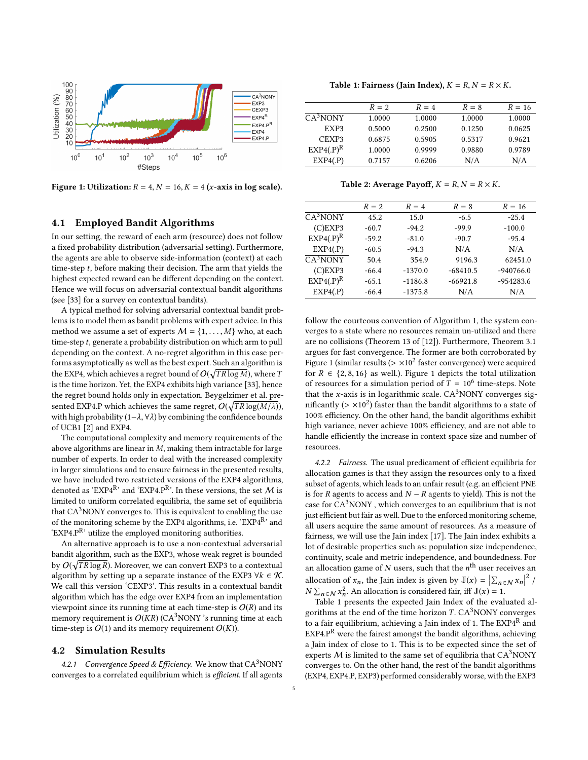<span id="page-4-0"></span>

Figure 1: Utilization:  $R = 4, N = 16, K = 4$  (x-axis in log scale).

#### 4.1 Employed Bandit Algorithms

In our setting, the reward of each arm (resource) does not follow a fixed probability distribution (adversarial setting). Furthermore, the agents are able to observe side-information (context) at each time-step t, before making their decision. The arm that yields the highest expected reward can be different depending on the context. Hence we will focus on adversarial contextual bandit algorithms (see [\[33\]](#page-6-24) for a survey on contextual bandits).

A typical method for solving adversarial contextual bandit problems is to model them as bandit problems with expert advice. In this method we assume a set of experts  $M = \{1, \ldots, M\}$  who, at each time-step t, generate a probability distribution on which arm to pull depending on the context. A no-regret algorithm in this case performs asymptotically as well as the best expert. Such an algorithm is the EXP4, which achieves a regret bound of  $O(\sqrt{TR\log M})$ , where  $T$ is the time horizon. Yet, the EXP4 exhibits high variance [\[33\]](#page-6-24), hence the regret bound holds only in expectation. Beygelzimer et al. presented EXP4.P which achieves the same regret,  $O(\sqrt{TR\log(M/\lambda)}),$ with high probability (1−λ, <sup>∀</sup>λ) by combining the confidence bounds of UCB1 [\[2\]](#page-5-5) and EXP4.

The computational complexity and memory requirements of the above algorithms are linear in M, making them intractable for large number of experts. In order to deal with the increased complexity in larger simulations and to ensure fairness in the presented results, we have included two restricted versions of the EXP4 algorithms, denoted as 'EXP4<sup>R</sup>' and 'EXP4.P<sup>R</sup>'. In these versions, the set M is limited to uniform correlated equilibria, the same set of equilibria that  $CA<sup>3</sup>$  NONY converges to. This is equivalent to enabling the use of the monitoring scheme by the EXP4 algorithms, i.e. 'EXP4<sup>R</sup>' and  $EXP4.P^R$ , utilize the employed monitoring authorities.

An alternative approach is to use a non-contextual adversarial bandit algorithm, such as the EXP3, whose weak regret is bounded by  $O(\sqrt{TR\log R})$ . Moreover, we can convert EXP3 to a contextual algorithm by setting up a separate instance of the EXP3  $\forall k \in \mathcal{K}$ . We call this version 'CEXP3'. This results in a contextual bandit algorithm which has the edge over EXP4 from an implementation viewpoint since its running time at each time-step is  $O(R)$  and its memory requirement is  $O(KR)$  (CA<sup>3</sup>NONY 's running time at each time-step is  $O(1)$  and its memory requirement  $O(K)$ ).

#### 4.2 Simulation Results

4.2.1 Convergence Speed & Efficiency. We know that  $CA<sup>3</sup>NONY$ converges to a correlated equilibrium which is efficient. If all agents

Table 1: Fairness (Jain Index),  $K = R$ ,  $N = R \times K$ .

<span id="page-4-1"></span>

|             | $R=2$  | $R = 4$ | $R = 8$ | $R = 16$ |
|-------------|--------|---------|---------|----------|
| $CA3$ NONY  | 1.0000 | 1.0000  | 1.0000  | 1.0000   |
| EXP3        | 0.5000 | 0.2500  | 0.1250  | 0.0625   |
| CEXP3       | 0.6875 | 0.5905  | 0.5317  | 0.9621   |
| $EXP4(P)^R$ | 1.0000 | 0.9999  | 0.9880  | 0.9789   |
| EXP4(P)     | 0.7157 | 0.6206  | N/A     | N/A      |

Table 2: Average Payoff,  $K = R$ ,  $N = R \times K$ .

<span id="page-4-2"></span>

|             | $R=2$   | $R = 4$   | $R=8$      | $R = 16$    |
|-------------|---------|-----------|------------|-------------|
| $CA3$ NONY  | 45.2    | 15.0      | $-6.5$     | $-25.4$     |
| $(C)$ EXP3  | $-60.7$ | $-94.2$   | $-99.9$    | $-100.0$    |
| $EXP4(P)^R$ | $-59.2$ | $-81.0$   | $-90.7$    | $-95.4$     |
| EXP4(P)     | $-60.5$ | $-94.3$   | N/A        | N/A         |
| $CA3$ NONY  | 50.4    | 354.9     | 9196.3     | 62451.0     |
| $(C)$ EXP3  | $-66.4$ | $-1370.0$ | $-68410.5$ | $-940766.0$ |
| $EXP4(P)^R$ | $-65.1$ | $-1186.8$ | $-66921.8$ | $-954283.6$ |
| EXP4(P)     | $-66.4$ | $-1375.8$ | N/A        | N/A         |

follow the courteous convention of Algorithm [1,](#page-2-0) the system converges to a state where no resources remain un-utilized and there are no collisions (Theorem 13 of [\[12\]](#page-6-3)). Furthermore, Theorem [3.1](#page-2-2) argues for fast convergence. The former are both corroborated by Figure [1](#page-4-0) (similar results ( $> \times 10^2$  faster convergence) were acquired<br>for  $P \in \{2, 8, 16\}$  as well). Figure 1 depicts the total utilization for  $R \in \{2, 8, 16\}$  $R \in \{2, 8, 16\}$  $R \in \{2, 8, 16\}$  as well.). Figure 1 depicts the total utilization of resources for a simulation period of  $T = 10^6$  time-steps. Note that the x-axis is in logarithmic scale.  $CA<sup>3</sup>NONY$  converges significantly  $(> \times 10^2)$  faster than the bandit algorithms to a state of  $100\%$  efficiency. On the other hand, the bandit algorithms exhibit 100% efficiency. On the other hand, the bandit algorithms exhibit high variance, never achieve 100% efficiency, and are not able to handle efficiently the increase in context space size and number of resources.

4.2.2 Fairness. The usual predicament of efficient equilibria for allocation games is that they assign the resources only to a fixed subset of agents, which leads to an unfair result (e.g. an efficient PNE is for R agents to access and  $N - R$  agents to yield). This is not the case for  $CA<sup>3</sup>NONY$ , which converges to an equilibrium that is not just efficient but fair as well. Due to the enforced monitoring scheme, all users acquire the same amount of resources. As a measure of fairness, we will use the Jain index [\[17\]](#page-6-25). The Jain index exhibits a lot of desirable properties such as: population size independence, continuity, scale and metric independence, and boundedness. For an allocation game of  $N$  users, such that the  $n^{\text{th}}$  user receives an allocation of  $x_n$ , the Jain index is given by  $\mathbb{J}(x) = \left| \sum_{n \in \mathbb{N}} x_n \right|$ <br> $\mathbb{N} \sum_{n=1}^{\infty} x_n^2$  An ellocation is considered foir iff  $\mathbb{I}(x) = 1$ 2 /  $N \sum_{n \in \mathcal{N}} x_n^2$ . An allocation is considered fair, iff  $\mathbb{J}(x) = 1$ .<br>Table 1 presents the expected lain Index of the evaluation

n Table [1](#page-4-1) presents the expected Jain Index of the evaluated algorithms at the end of the time horizon  $T$ .  $CA<sup>3</sup>$  NONY converges to a fair equilibrium, achieving a Iain index of 1. The  $\mathrm{EXP4}^\mathrm{R}$  and  $EXP4.PR$  were the fairest amongst the bandit algorithms, achieving a Jain index of close to 1. This is to be expected since the set of experts  $M$  is limited to the same set of equilibria that  $CA<sup>3</sup>NONY$ converges to. On the other hand, the rest of the bandit algorithms (EXP4, EXP4.P, EXP3) performed considerably worse, with the EXP3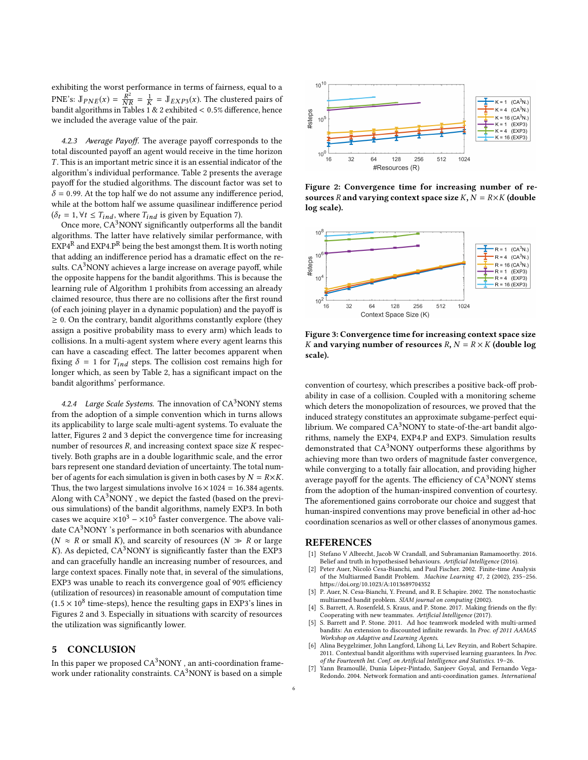exhibiting the worst performance in terms of fairness, equal to a PNE's:  $\mathbb{J}_{PNE}(x) = \frac{R}{N}$  $\frac{\overline{R}^2}{NR} = \frac{1}{K}$ <br>Tables 1  $\frac{1}{K} = \mathbb{J}_{EXP3}(x)$ . The clustered pairs of 1 & 2 exhibited < 0.5% difference, hence bandit algorithms in Tables [1](#page-4-1) & [2](#page-4-2) exhibited  $< 0.5\%$  difference, hence we included the average value of the pair.

4.2.3 Average Payoff. The average payoff corresponds to the total discounted payoff an agent would receive in the time horizon T . This is an important metric since it is an essential indicator of the algorithm's individual performance. Table [2](#page-4-2) presents the average payoff for the studied algorithms. The discount factor was set to  $\delta$  = 0.99. At the top half we do not assume any indifference period, while at the bottom half we assume quasilinear indifference period  $(\delta_t = 1, \forall t \leq T_{ind}, \text{ where } T_{ind} \text{ is given by Equation 7)}.$  $(\delta_t = 1, \forall t \leq T_{ind}, \text{ where } T_{ind} \text{ is given by Equation 7)}.$  $(\delta_t = 1, \forall t \leq T_{ind}, \text{ where } T_{ind} \text{ is given by Equation 7)}.$ 

Once more, CA<sup>3</sup>NONY significantly outperforms all the bandit algorithms. The latter have relatively similar performance, with  $\mathrm{EXP4}^\mathrm{R}$  and EXP4.P<sup>R</sup> being the best amongst them. It is worth noting that adding an indifference period has a dramatic effect on the results.  $CA<sup>3</sup>NONY$  achieves a large increase on average payoff, while the opposite happens for the bandit algorithms. This is because the learning rule of Algorithm [1](#page-2-0) prohibits from accessing an already claimed resource, thus there are no collisions after the first round (of each joining player in a dynamic population) and the payoff is  $\geq$  0. On the contrary, bandit algorithms constantly explore (they assign a positive probability mass to every arm) which leads to collisions. In a multi-agent system where every agent learns this can have a cascading effect. The latter becomes apparent when fixing  $\delta = 1$  for  $T_{ind}$  steps. The collision cost remains high for longer which, as seen by Table [2,](#page-4-2) has a significant impact on the bandit algorithms' performance.

4.2.4 Large Scale Systems. The innovation of  $CA<sup>3</sup>$  NONY stems from the adoption of a simple convention which in turns allows its applicability to large scale multi-agent systems. To evaluate the latter, Figures [2](#page-5-8) and [3](#page-5-9) depict the convergence time for increasing number of resources  $R$ , and increasing context space size  $K$  respectively. Both graphs are in a double logarithmic scale, and the error bars represent one standard deviation of uncertainty. The total number of agents for each simulation is given in both cases by  $N = R \times K$ . Thus, the two largest simulations involve  $16 \times 1024 = 16.384$  agents. Along with  $CA<sup>3</sup>NONY$ , we depict the fasted (based on the previous simulations) of the bandit algorithms, namely EXP3. In both cases we acquire  $\times 10^3 - \times 10^5$  faster convergence. The above validate CA<sup>3</sup>NONY 's performance in both scenarios with abundance ( $N \approx R$  or small K), and scarcity of resources ( $N \gg R$  or large K). As depicted,  $CA<sup>3</sup>NONY$  is significantly faster than the EXP3 and can gracefully handle an increasing number of resources, and large context spaces. Finally note that, in several of the simulations, EXP3 was unable to reach its convergence goal of 90% efficiency (utilization of resources) in reasonable amount of computation time  $(1.5 \times 10^8$  time-steps), hence the resulting gaps in EXP3's lines in Figures 2 and 3. Expecially in situations with scarcity of resources Figures [2](#page-5-8) and [3.](#page-5-9) Especially in situations with scarcity of resources the utilization was significantly lower.

# <span id="page-5-1"></span>5 CONCLUSION

In this paper we proposed  $CA<sup>3</sup>NONY$ , an anti-coordination framework under rationality constraints.  $CA<sup>3</sup>NONY$  is based on a simple

<span id="page-5-8"></span>

Figure 2: Convergence time for increasing number of resources R and varying context space size K,  $N = R \times K$  (double log scale).

<span id="page-5-9"></span>

Figure 3: Convergence time for increasing context space size K and varying number of resources  $R, N = R \times K$  (double log scale).

convention of courtesy, which prescribes a positive back-off probability in case of a collision. Coupled with a monitoring scheme which deters the monopolization of resources, we proved that the induced strategy constitutes an approximate subgame-perfect equilibrium. We compared  $CA^3$ NONY to state-of-the-art bandit algorithms, namely the EXP4, EXP4.P and EXP3. Simulation results demonstrated that  $CA<sup>3</sup>NONY$  outperforms these algorithms by achieving more than two orders of magnitude faster convergence, while converging to a totally fair allocation, and providing higher average payoff for the agents. The efficiency of  $CA<sup>3</sup>NONY$  stems from the adoption of the human-inspired convention of courtesy. The aforementioned gains corroborate our choice and suggest that human-inspired conventions may prove beneficial in other ad-hoc coordination scenarios as well or other classes of anonymous games.

#### **REFERENCES**

- <span id="page-5-3"></span>[1] Stefano V Albrecht, Jacob W Crandall, and Subramanian Ramamoorthy. 2016. Belief and truth in hypothesised behaviours. Artificial Intelligence (2016).
- <span id="page-5-5"></span>Peter Auer, Nicolò Cesa-Bianchi, and Paul Fischer. 2002. Finite-time Analysis of the Multiarmed Bandit Problem. Machine Learning 47, 2 (2002), 235–256. <https://doi.org/10.1023/A:1013689704352>
- <span id="page-5-6"></span>[3] P. Auer, N. Cesa-Bianchi, Y. Freund, and R. E Schapire. 2002. The nonstochastic multiarmed bandit problem. SIAM journal on computing (2002).
- <span id="page-5-2"></span>[4] S. Barrett, A. Rosenfeld, S. Kraus, and P. Stone. 2017. Making friends on the fly: Cooperating with new teammates. Artificial Intelligence (2017).
- <span id="page-5-4"></span>[5] S. Barrett and P. Stone. 2011. Ad hoc teamwork modeled with multi-armed bandits: An extension to discounted infinite rewards. In Proc. of 2011 AAMAS Workshop on Adaptive and Learning Agents.
- <span id="page-5-7"></span>[6] Alina Beygelzimer, John Langford, Lihong Li, Lev Reyzin, and Robert Schapire. 2011. Contextual bandit algorithms with supervised learning guarantees. In Proc. of the Fourteenth Int. Conf. on Artificial Intelligence and Statistics. 19–26.
- <span id="page-5-0"></span>Yann Bramoullé, Dunia López-Pintado, Sanjeev Goyal, and Fernando Vega-Redondo. 2004. Network formation and anti-coordination games. International